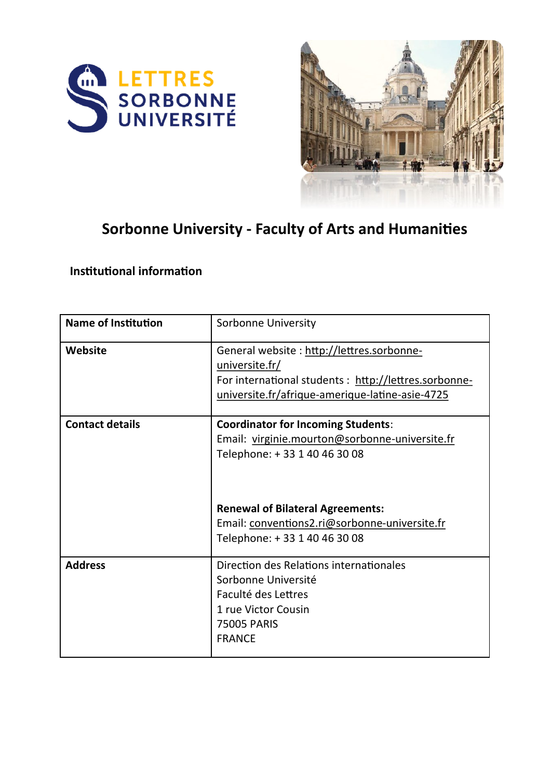



# **Sorbonne University - Faculty of Arts and Humanities**

## **Institutional information**

| <b>Name of Institution</b> | Sorbonne University                                                                                                                                                                                                                                     |  |
|----------------------------|---------------------------------------------------------------------------------------------------------------------------------------------------------------------------------------------------------------------------------------------------------|--|
| Website                    | General website: http://lettres.sorbonne-<br>universite.fr/<br>For international students : http://lettres.sorbonne-<br>universite.fr/afrique-amerique-latine-asie-4725                                                                                 |  |
| <b>Contact details</b>     | <b>Coordinator for Incoming Students:</b><br>Email: virginie.mourton@sorbonne-universite.fr<br>Telephone: +33 1 40 46 30 08<br><b>Renewal of Bilateral Agreements:</b><br>Email: conventions2.ri@sorbonne-universite.fr<br>Telephone: +33 1 40 46 30 08 |  |
| <b>Address</b>             | Direction des Relations internationales<br>Sorbonne Université<br>Faculté des Lettres<br>1 rue Victor Cousin<br><b>75005 PARIS</b><br><b>FRANCE</b>                                                                                                     |  |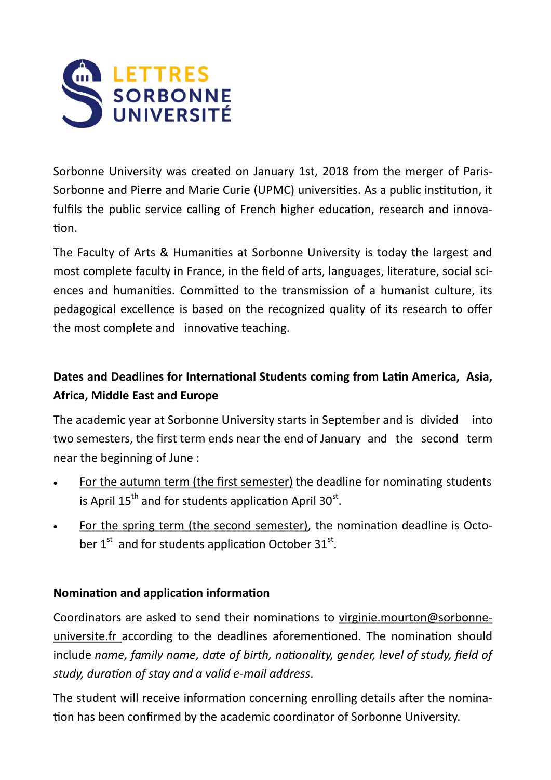

Sorbonne University was created on January 1st, 2018 from the merger of Paris-Sorbonne and Pierre and Marie Curie (UPMC) universities. As a public institution, it fulfils the public service calling of French higher education, research and innovation.

The Faculty of Arts & Humanities at Sorbonne University is today the largest and most complete faculty in France, in the field of arts, languages, literature, social sciences and humanities. Committed to the transmission of a humanist culture, its pedagogical excellence is based on the recognized quality of its research to offer the most complete and innovative teaching.

# **Dates and Deadlines for International Students coming from Latin America, Asia, Africa, Middle East and Europe**

The academic year at Sorbonne University starts in September and is divided into two semesters, the first term ends near the end of January and the second term near the beginning of June :

- For the autumn term (the first semester) the deadline for nominating students is April  $15^{th}$  and for students application April 30 $^{st}$ .
- For the spring term (the second semester), the nomination deadline is October  $1^{st}$  and for students application October 31st.

## **Nomination and application information**

Coordinators are asked to send their nominations to virginie.mourton@sorbonneuniversite.fr according to the deadlines aforementioned. The nomination should include *name, family name, date of birth, nationality, gender, level of study, field of study, duration of stay and a valid e-mail address*.

The student will receive information concerning enrolling details after the nomination has been confirmed by the academic coordinator of Sorbonne University.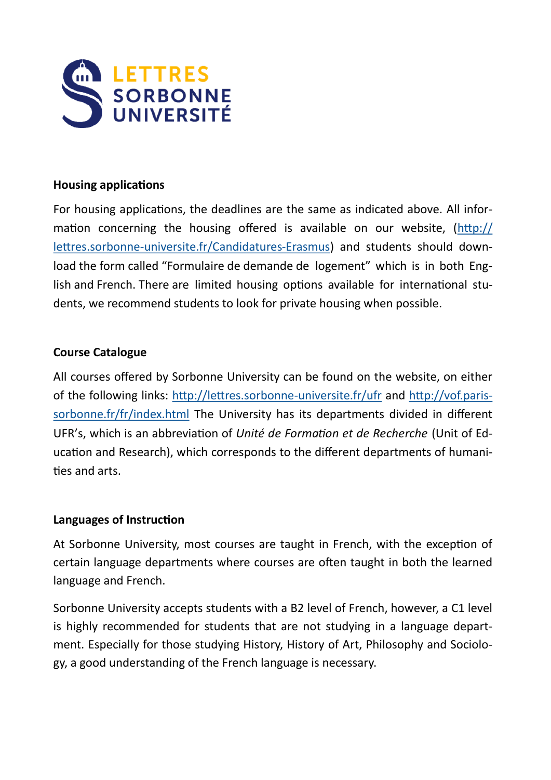

#### **Housing applications**

For housing applications, the deadlines are the same as indicated above. All information concerning the housing offered is available on our website, [\(http://](http://lettres.sorbonneuniversite.fr/Candidatures-Erasmus) lettres.sorbonne-[universite.fr/Candidatures](http://lettres.sorbonneuniversite.fr/Candidatures-Erasmus)-Erasmus) and students should download the form called "Formulaire de demande de logement" which is in both English and French. There are limited housing options available for international students, we recommend students to look for private housing when possible.

#### **Course Catalogue**

All courses offered by Sorbonne University can be found on the website, on either of the following links: [http://lettres.sorbonne](http://lettres.sorbonne-universite.fr/ufr)-universite.fr/ufr and [http://vof.paris](http://vof.paris-sorbonne.fr/fr/index.html)[sorbonne.fr/fr/index.html](http://vof.paris-sorbonne.fr/fr/index.html) The University has its departments divided in different UFR's, which is an abbreviation of *Unité de Formation et de Recherche* (Unit of Education and Research), which corresponds to the different departments of humanities and arts.

#### **Languages of Instruction**

At Sorbonne University, most courses are taught in French, with the exception of certain language departments where courses are often taught in both the learned language and French.

Sorbonne University accepts students with a B2 level of French, however, a C1 level is highly recommended for students that are not studying in a language department. Especially for those studying History, History of Art, Philosophy and Sociology, a good understanding of the French language is necessary.